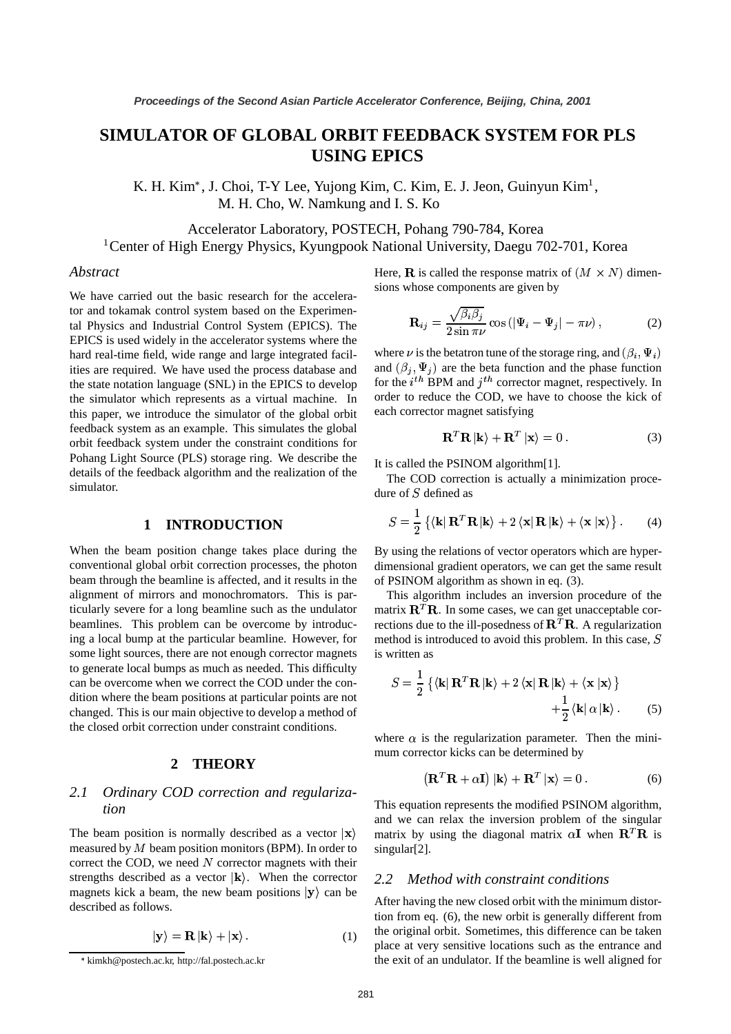# **SIMULATOR OF GLOBAL ORBIT FEEDBACK SYSTEM FOR PLS USING EPICS**

K. H. Kim<sup>\*</sup>, J. Choi, T-Y Lee, Yujong Kim, C. Kim, E. J. Jeon, Guinyun Kim<sup>1</sup>, M. H. Cho, W. Namkung and I. S. Ko

Accelerator Laboratory, POSTECH, Pohang 790-784, Korea <sup>1</sup>Center of High Energy Physics, Kyungpook National University, Daegu 702-701, Korea

### *Abstract*

We have carried out the basic research for the accelerator and tokamak control system based on the Experimental Physics and Industrial Control System (EPICS). The EPICS is used widely in the accelerator systems where the hard real-time field, wide range and large integrated facilities are required. We have used the process database and the state notation language (SNL) in the EPICS to develop the simulator which represents as a virtual machine. In this paper, we introduce the simulator of the global orbit feedback system as an example. This simulates the global orbit feedback system under the constraint conditions for Pohang Light Source (PLS) storage ring. We describe the details of the feedback algorithm and the realization of the simulator.

### **1 INTRODUCTION**

When the beam position change takes place during the conventional global orbit correction processes, the photon beam through the beamline is affected, and it results in the alignment of mirrors and monochromators. This is particularly severe for a long beamline such as the undulator beamlines. This problem can be overcome by introducing a local bump at the particular beamline. However, for some light sources, there are not enough corrector magnets to generate local bumps as much as needed. This difficulty can be overcome when we correct the COD under the condition where the beam positions at particular points are not changed. This is our main objective to develop a method of the closed orbit correction under constraint conditions.

#### **2 THEORY**

# *2.1 Ordinary COD correction and regularization*

The beam position is normally described as a vector  $|x\rangle$  m measured by  $M$  beam position monitors (BPM). In order to correct the COD, we need  $N$  corrector magnets with their strengths described as a vector  $|\mathbf{k}\rangle$ . When the corrector magnets kick a beam, the new beam positions  $|y\rangle$  can be described as follows.

$$
|\mathbf{y}\rangle = \mathbf{R}|\mathbf{k}\rangle + |\mathbf{x}\rangle. \tag{1}
$$

Here, **R** is called the response matrix of  $(M \times N)$  dimensions whose components are given by

$$
\mathbf{R}_{ij} = \frac{\sqrt{\beta_i \beta_j}}{2 \sin \pi \nu} \cos \left( |\Psi_i - \Psi_j| - \pi \nu \right), \tag{2}
$$

where  $\nu$  is the betatron tune of the storage ring, and  $(\beta_i, \Psi_i)$ and  $(\beta_i, \Psi_i)$  are the beta function and the phase function for the  $i^{th}$  BPM and  $j^{th}$  corrector magnet, respectively. In order to reduce the COD, we have to choose the kick of each corrector magnet satisfying

$$
\mathbf{R}^T \mathbf{R} | \mathbf{k} \rangle + \mathbf{R}^T | \mathbf{x} \rangle = 0. \tag{3}
$$

It is called the PSINOM algorithm[1].

The COD correction is actually a minimization procedure of  $S$  defined as

$$
S = \frac{1}{2} \left\{ \left\langle \mathbf{k} | \mathbf{R}^T \mathbf{R} | \mathbf{k} \right\rangle + 2 \left\langle \mathbf{x} | \mathbf{R} | \mathbf{k} \right\rangle + \left\langle \mathbf{x} | \mathbf{x} \right\rangle \right\}.
$$
 (4)

By using the relations of vector operators which are hyperdimensional gradient operators, we can get the same result of PSINOM algorithm as shown in eq. (3).

This algorithm includes an inversion procedure of the matrix  $\mathbf{R}^T \mathbf{R}$ . In some cases, we can get unacceptable corrections due to the ill-posedness of  $\mathbf{R}^T \mathbf{R}$ . A regularization method is introduced to avoid this problem. In this case,  $S$ is written as

$$
S = \frac{1}{2} \left\{ \left\langle \mathbf{k} | \mathbf{R}^T \mathbf{R} | \mathbf{k} \right\rangle + 2 \left\langle \mathbf{x} | \mathbf{R} | \mathbf{k} \right\rangle + \left\langle \mathbf{x} | \mathbf{x} \right\rangle \right\} + \frac{1}{2} \left\langle \mathbf{k} | \alpha | \mathbf{k} \right\rangle.
$$
 (5)

where  $\alpha$  is the regularization parameter. Then the minimum corrector kicks can be determined by

$$
\left(\mathbf{R}^T \mathbf{R} + \alpha \mathbf{I}\right) |\mathbf{k}\rangle + \mathbf{R}^T |\mathbf{x}\rangle = 0.
$$
 (6)

This equation represents the modified PSINOM algorithm, and we can relax the inversion problem of the singular matrix by using the diagonal matrix  $\alpha I$  when  $\mathbf{R}^T \mathbf{R}$  is singular[2].

## *2.2 Method with constraint conditions*

After having the new closed orbit with the minimum distortion from eq. (6), the new orbit is generally different from the original orbit. Sometimes, this difference can be taken place at very sensitive locations such as the entrance and the exit of an undulator. If the beamline is well aligned for

kimkh@postech.ac.kr, http://fal.postech.ac.kr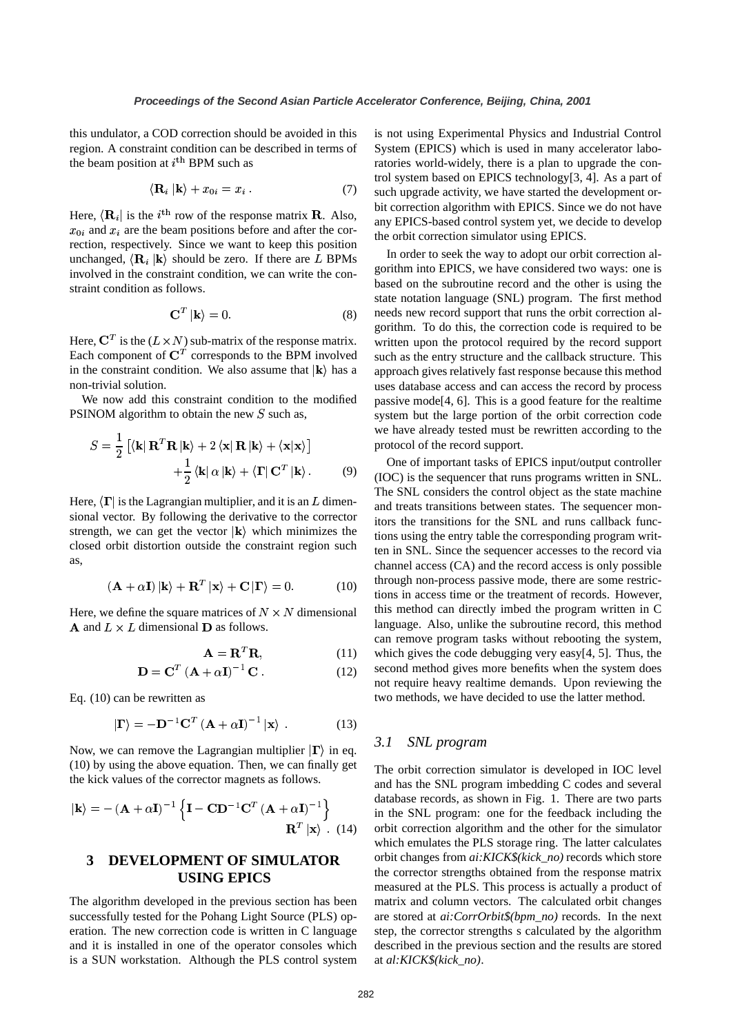this undulator, a COD correction should be avoided in this region. A constraint condition can be described in terms of the beam position at  $i^{\text{th}}$  BPM such as

$$
\langle \mathbf{R}_i | \mathbf{k} \rangle + x_{0i} = x_i \,. \tag{7}
$$

Here,  $\langle \mathbf{R}_i |$  is the  $i^{\text{th}}$  row of the response matrix **R**. Also,  $\lim_{\text{env}}$  EDL  $x_{0i}$  and  $x_i$  are the beam positions before and after the correction, respectively. Since we want to keep this position unchanged,  $\langle \mathbf{R}_i | \mathbf{k} \rangle$  should be zero. If there are L BPMs involved in the constraint condition, we can write the constraint condition as follows.

$$
\mathbf{C}^T \left| \mathbf{k} \right\rangle = 0. \tag{8}
$$

Here,  $\mathbf{C}^T$  is the  $(L \times N)$  sub-matrix of the response matrix. Each component of  $\mathbb{C}^T$  corresponds to the BPM involved in the constraint condition. We also assume that  $|\mathbf{k}\rangle$  has a non-trivial solution.

We now add this constraint condition to the modified PSINOM algorithm to obtain the new  $S$  such as,

$$
S = \frac{1}{2} \left[ \langle \mathbf{k} | \mathbf{R}^T \mathbf{R} | \mathbf{k} \rangle + 2 \langle \mathbf{x} | \mathbf{R} | \mathbf{k} \rangle + \langle \mathbf{x} | \mathbf{x} \rangle \right] + \frac{1}{2} \langle \mathbf{k} | \alpha | \mathbf{k} \rangle + \langle \mathbf{\Gamma} | \mathbf{C}^T | \mathbf{k} \rangle. \tag{9}
$$

Here,  $\langle \Gamma |$  is the Lagrangian multiplier, and it is an L dimensional vector. By following the derivative to the corrector strength, we can get the vector  $|\mathbf{k}\rangle$  which minimizes the closed orbit distortion outside the constraint region such as,

$$
(\mathbf{A} + \alpha \mathbf{I}) |\mathbf{k}\rangle + \mathbf{R}^T |\mathbf{x}\rangle + \mathbf{C} |\mathbf{\Gamma}\rangle = 0.
$$
 (10)

Here, we define the square matrices of  $N \times N$  dimensional **A** and  $L \times L$  dimensional **D** as follows.

$$
\mathbf{A} = \mathbf{R}^T \mathbf{R},\tag{11}
$$

$$
\mathbf{D} = \mathbf{C}^T \left( \mathbf{A} + \alpha \mathbf{I} \right)^{-1} \mathbf{C} \,. \tag{12}
$$

Eq. (10) can be rewritten as

$$
|\mathbf{\Gamma}\rangle = -\mathbf{D}^{-1}\mathbf{C}^{T}(\mathbf{A} + \alpha \mathbf{I})^{-1}|\mathbf{x}\rangle . \qquad (13)
$$

Now, we can remove the Lagrangian multiplier  $|\Gamma\rangle$  in eq. (10) by using the above equation. Then, we can finally get the kick values of the corrector magnets as follows.

$$
|\mathbf{k}\rangle = -(\mathbf{A} + \alpha \mathbf{I})^{-1} \left\{ \mathbf{I} - \mathbf{C} \mathbf{D}^{-1} \mathbf{C}^T (\mathbf{A} + \alpha \mathbf{I})^{-1} \right\}
$$

$$
\mathbf{R}^T |\mathbf{x}\rangle . (14)
$$

# **3 DEVELOPMENT OF SIMULATOR USING EPICS**

The algorithm developed in the previous section has been successfully tested for the Pohang Light Source (PLS) operation. The new correction code is written in C language and it is installed in one of the operator consoles which is a SUN workstation. Although the PLS control system is not using Experimental Physics and Industrial Control System (EPICS) which is used in many accelerator laboratories world-widely, there is a plan to upgrade the control system based on EPICS technology[3, 4]. As a part of such upgrade activity, we have started the development orbit correction algorithm with EPICS. Since we do not have any EPICS-based control system yet, we decide to develop the orbit correction simulator using EPICS.

In order to seek the way to adopt our orbit correction algorithm into EPICS, we have considered two ways: one is based on the subroutine record and the other is using the state notation language (SNL) program. The first method needs new record support that runs the orbit correction algorithm. To do this, the correction code is required to be written upon the protocol required by the record support such as the entry structure and the callback structure. This approach gives relatively fast response because this method uses database access and can access the record by process passive mode[4, 6]. This is a good feature for the realtime system but the large portion of the orbit correction code we have already tested must be rewritten according to the protocol of the record support.

One of important tasks of EPICS input/output controller (IOC) is the sequencer that runs programs written in SNL. The SNL considers the control object as the state machine and treats transitions between states. The sequencer monitors the transitions for the SNL and runs callback functions using the entry table the corresponding program written in SNL. Since the sequencer accesses to the record via channel access (CA) and the record access is only possible through non-process passive mode, there are some restrictions in access time or the treatment of records. However, this method can directly imbed the program written in C language. Also, unlike the subroutine record, this method can remove program tasks without rebooting the system, which gives the code debugging very easy[4, 5]. Thus, the second method gives more benefits when the system does not require heavy realtime demands. Upon reviewing the two methods, we have decided to use the latter method.

## *3.1 SNL program*

The orbit correction simulator is developed in IOC level and has the SNL program imbedding C codes and several database records, as shown in Fig. 1. There are two parts in the SNL program: one for the feedback including the orbit correction algorithm and the other for the simulator which emulates the PLS storage ring. The latter calculates orbit changes from *ai:KICK\$(kick\_no)* records which store the corrector strengths obtained from the response matrix measured at the PLS. This process is actually a product of matrix and column vectors. The calculated orbit changes are stored at *ai:CorrOrbit\$(bpm\_no)* records. In the next step, the corrector strengths s calculated by the algorithm described in the previous section and the results are stored at *al:KICK\$(kick\_no)*.